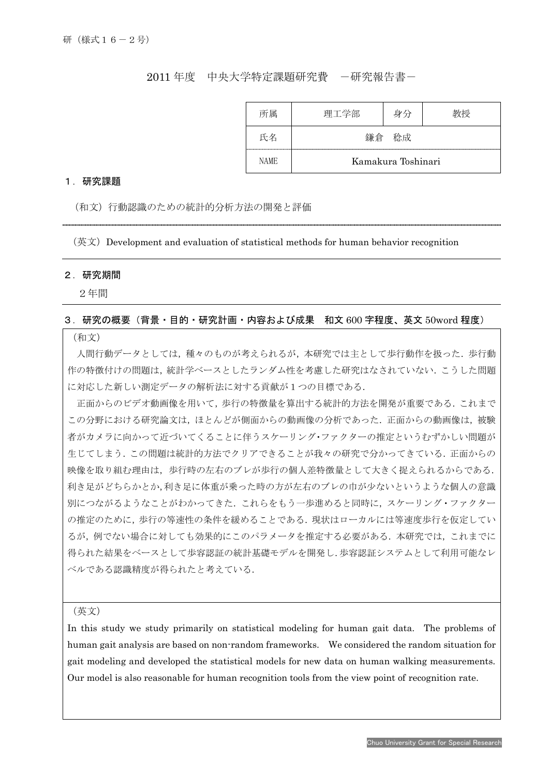## 2011 年度 中央大学特定課題研究費 一研究報告書ー

| 所属          | 理工学部               | 身分 | 教授 |
|-------------|--------------------|----|----|
| 氏名          | 軒倉                 | 稔成 |    |
| <b>NAME</b> | Kamakura Toshinari |    |    |

#### 1.研究課題

(和文)行動認識のための統計的分析方法の開発と評価

(英文)Development and evaluation of statistical methods for human behavior recognition

### 2.研究期間

I

2年間

### 3.研究の概要(背景・目的・研究計画・内容および成果 和文 600 字程度、英文 50word 程度)

#### (和文)

人間行動データとしては,種々のものが考えられるが,本研究では主として歩行動作を扱った.歩行動 作の特徴付けの問題は,統計学ベースとしたランダム性を考慮した研究はなされていない.こうした問題 に対応した新しい測定データの解析法に対する貢献が1つの目標である.

正面からのビデオ動画像を用いて,歩行の特徴量を算出する統計的方法を開発が重要である.これまで この分野における研究論文は,ほとんどが側面からの動画像の分析であった.正面からの動画像は,被験 者がカメラに向かって近づいてくることに伴うスケーリング・ファクターの推定というむずかしい問題が 生じてしまう.この問題は統計的方法でクリアできることが我々の研究で分かってきている.正面からの 映像を取り組む理由は,歩行時の左右のブレが歩行の個人差特徴量として大きく捉えられるからである. 利き足がどちらかとか,利き足に体重が乗った時の方が左右のブレの巾が少ないというような個人の意識 別につながるようなことがわかってきた.これらをもう一歩進めると同時に,スケーリング・ファクター の推定のために,歩行の等速性の条件を緩めることである.現状はローカルには等速度歩行を仮定してい るが、例でない場合に対しても効果的にこのパラメータを推定する必要がある.本研究では、これまでに 得られた結果をベースとして歩容認証の統計基礎モデルを開発し.歩容認証システムとして利用可能なレ ベルである認識精度が得られたと考えている.

(英文)

In this study we study primarily on statistical modeling for human gait data. The problems of human gait analysis are based on non-random frameworks. We considered the random situation for gait modeling and developed the statistical models for new data on human walking measurements. Our model is also reasonable for human recognition tools from the view point of recognition rate.